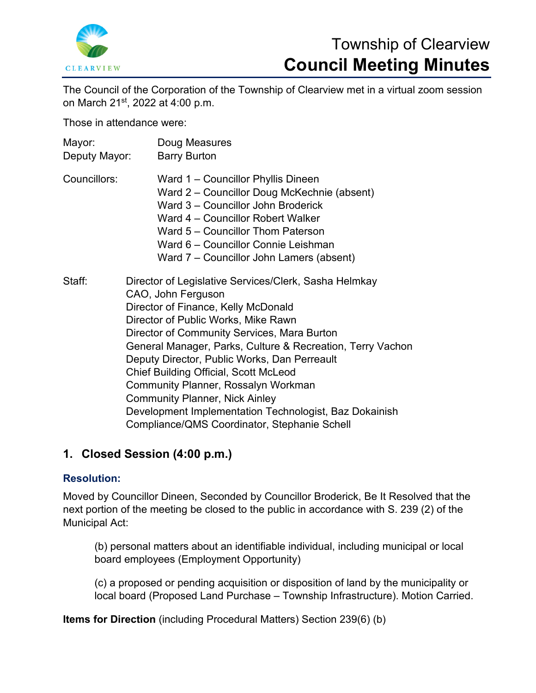

# Township of Clearview **Council Meeting Minutes**

The Council of the Corporation of the Township of Clearview met in a virtual zoom session on March 21st, 2022 at 4:00 p.m.

Those in attendance were:

| Mayor:<br>Deputy Mayor: | Doug Measures<br><b>Barry Burton</b>                                                                                                                                                                                                                                                                                                                                                                                                                                                                                                                             |
|-------------------------|------------------------------------------------------------------------------------------------------------------------------------------------------------------------------------------------------------------------------------------------------------------------------------------------------------------------------------------------------------------------------------------------------------------------------------------------------------------------------------------------------------------------------------------------------------------|
| Councillors:            | Ward 1 - Councillor Phyllis Dineen<br>Ward 2 – Councillor Doug McKechnie (absent)<br>Ward 3 – Councillor John Broderick<br>Ward 4 - Councillor Robert Walker<br>Ward 5 - Councillor Thom Paterson<br>Ward 6 - Councillor Connie Leishman<br>Ward 7 – Councillor John Lamers (absent)                                                                                                                                                                                                                                                                             |
| Staff:                  | Director of Legislative Services/Clerk, Sasha Helmkay<br>CAO, John Ferguson<br>Director of Finance, Kelly McDonald<br>Director of Public Works, Mike Rawn<br>Director of Community Services, Mara Burton<br>General Manager, Parks, Culture & Recreation, Terry Vachon<br>Deputy Director, Public Works, Dan Perreault<br><b>Chief Building Official, Scott McLeod</b><br>Community Planner, Rossalyn Workman<br><b>Community Planner, Nick Ainley</b><br>Development Implementation Technologist, Baz Dokainish<br>Compliance/QMS Coordinator, Stephanie Schell |

## **1. Closed Session (4:00 p.m.)**

#### **Resolution:**

Moved by Councillor Dineen, Seconded by Councillor Broderick, Be It Resolved that the next portion of the meeting be closed to the public in accordance with S. 239 (2) of the Municipal Act:

(b) personal matters about an identifiable individual, including municipal or local board employees (Employment Opportunity)

(c) a proposed or pending acquisition or disposition of land by the municipality or local board (Proposed Land Purchase – Township Infrastructure). Motion Carried.

**Items for Direction** (including Procedural Matters) Section 239(6) (b)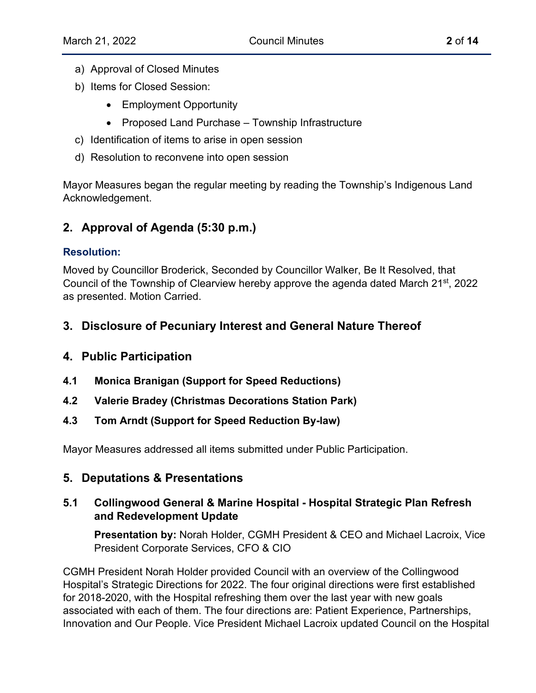- a) Approval of Closed Minutes
- b) Items for Closed Session:
	- Employment Opportunity
	- Proposed Land Purchase Township Infrastructure
- c) Identification of items to arise in open session
- d) Resolution to reconvene into open session

Mayor Measures began the regular meeting by reading the Township's Indigenous Land Acknowledgement.

## **2. Approval of Agenda (5:30 p.m.)**

## **Resolution:**

Moved by Councillor Broderick, Seconded by Councillor Walker, Be It Resolved, that Council of the Township of Clearview hereby approve the agenda dated March 21<sup>st</sup>, 2022 as presented. Motion Carried.

## **3. Disclosure of Pecuniary Interest and General Nature Thereof**

## **4. Public Participation**

- **4.1 Monica Branigan (Support for Speed Reductions)**
- **4.2 Valerie Bradey (Christmas Decorations Station Park)**
- **4.3 Tom Arndt (Support for Speed Reduction By-law)**

Mayor Measures addressed all items submitted under Public Participation.

## **5. Deputations & Presentations**

## **5.1 Collingwood General & Marine Hospital - Hospital Strategic Plan Refresh and Redevelopment Update**

**Presentation by:** Norah Holder, CGMH President & CEO and Michael Lacroix, Vice President Corporate Services, CFO & CIO

CGMH President Norah Holder provided Council with an overview of the Collingwood Hospital's Strategic Directions for 2022. The four original directions were first established for 2018-2020, with the Hospital refreshing them over the last year with new goals associated with each of them. The four directions are: Patient Experience, Partnerships, Innovation and Our People. Vice President Michael Lacroix updated Council on the Hospital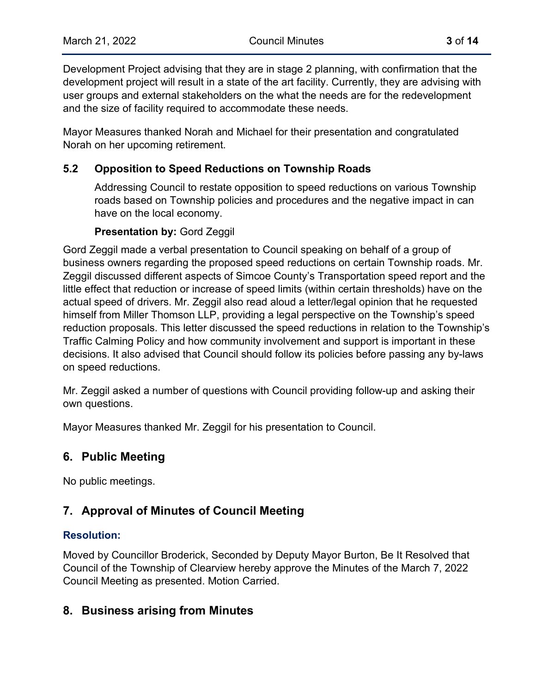Development Project advising that they are in stage 2 planning, with confirmation that the development project will result in a state of the art facility. Currently, they are advising with user groups and external stakeholders on the what the needs are for the redevelopment and the size of facility required to accommodate these needs.

Mayor Measures thanked Norah and Michael for their presentation and congratulated Norah on her upcoming retirement.

## **5.2 Opposition to Speed Reductions on Township Roads**

Addressing Council to restate opposition to speed reductions on various Township roads based on Township policies and procedures and the negative impact in can have on the local economy.

#### **Presentation by:** Gord Zeggil

Gord Zeggil made a verbal presentation to Council speaking on behalf of a group of business owners regarding the proposed speed reductions on certain Township roads. Mr. Zeggil discussed different aspects of Simcoe County's Transportation speed report and the little effect that reduction or increase of speed limits (within certain thresholds) have on the actual speed of drivers. Mr. Zeggil also read aloud a letter/legal opinion that he requested himself from Miller Thomson LLP, providing a legal perspective on the Township's speed reduction proposals. This letter discussed the speed reductions in relation to the Township's Traffic Calming Policy and how community involvement and support is important in these decisions. It also advised that Council should follow its policies before passing any by-laws on speed reductions.

Mr. Zeggil asked a number of questions with Council providing follow-up and asking their own questions.

Mayor Measures thanked Mr. Zeggil for his presentation to Council.

## **6. Public Meeting**

No public meetings.

## **7. Approval of Minutes of Council Meeting**

#### **Resolution:**

Moved by Councillor Broderick, Seconded by Deputy Mayor Burton, Be It Resolved that Council of the Township of Clearview hereby approve the Minutes of the March 7, 2022 Council Meeting as presented. Motion Carried.

## **8. Business arising from Minutes**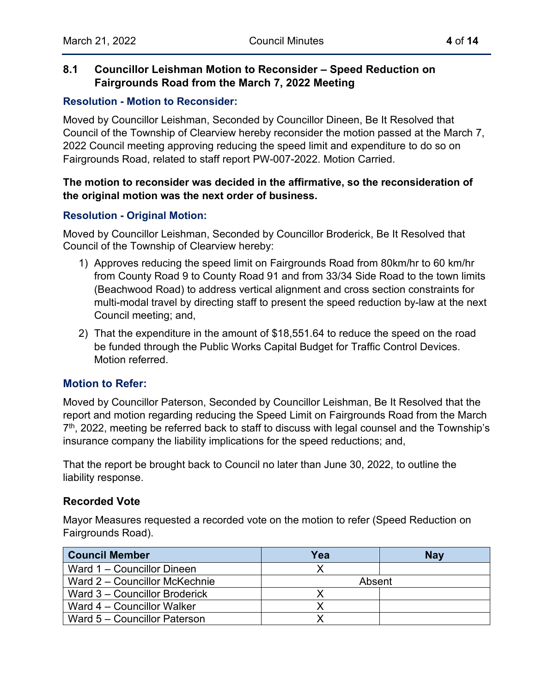### **8.1 Councillor Leishman Motion to Reconsider – Speed Reduction on Fairgrounds Road from the March 7, 2022 Meeting**

#### **Resolution - Motion to Reconsider:**

Moved by Councillor Leishman, Seconded by Councillor Dineen, Be It Resolved that Council of the Township of Clearview hereby reconsider the motion passed at the March 7, 2022 Council meeting approving reducing the speed limit and expenditure to do so on Fairgrounds Road, related to staff report PW-007-2022. Motion Carried.

#### **The motion to reconsider was decided in the affirmative, so the reconsideration of the original motion was the next order of business.**

#### **Resolution - Original Motion:**

Moved by Councillor Leishman, Seconded by Councillor Broderick, Be It Resolved that Council of the Township of Clearview hereby:

- 1) Approves reducing the speed limit on Fairgrounds Road from 80km/hr to 60 km/hr from County Road 9 to County Road 91 and from 33/34 Side Road to the town limits (Beachwood Road) to address vertical alignment and cross section constraints for multi-modal travel by directing staff to present the speed reduction by-law at the next Council meeting; and,
- 2) That the expenditure in the amount of \$18,551.64 to reduce the speed on the road be funded through the Public Works Capital Budget for Traffic Control Devices. Motion referred.

#### **Motion to Refer:**

Moved by Councillor Paterson, Seconded by Councillor Leishman, Be It Resolved that the report and motion regarding reducing the Speed Limit on Fairgrounds Road from the March  $7<sup>th</sup>$ , 2022, meeting be referred back to staff to discuss with legal counsel and the Township's insurance company the liability implications for the speed reductions; and,

That the report be brought back to Council no later than June 30, 2022, to outline the liability response.

#### **Recorded Vote**

Mayor Measures requested a recorded vote on the motion to refer (Speed Reduction on Fairgrounds Road).

| <b>Council Member</b>         | Yea    | <b>Nay</b> |
|-------------------------------|--------|------------|
| Ward 1 – Councillor Dineen    |        |            |
| Ward 2 – Councillor McKechnie | Absent |            |
| Ward 3 – Councillor Broderick |        |            |
| Ward 4 – Councillor Walker    |        |            |
| Ward 5 – Councillor Paterson  |        |            |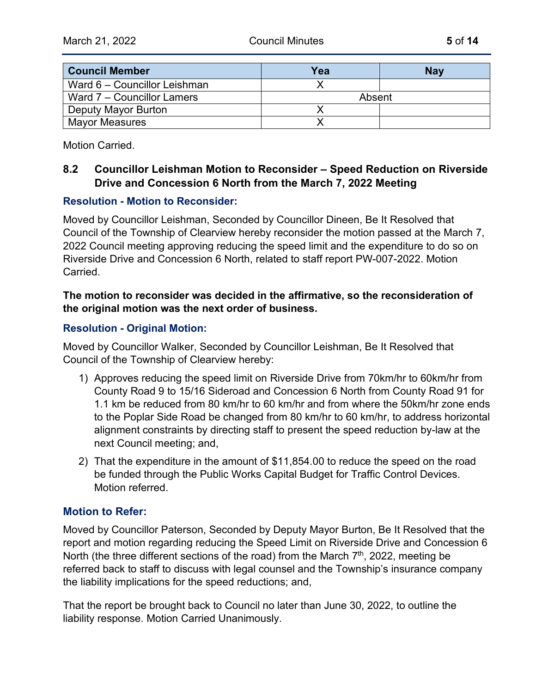| <b>Council Member</b>        | Yea    | <b>Nav</b> |
|------------------------------|--------|------------|
| Ward 6 - Councillor Leishman |        |            |
| Ward 7 – Councillor Lamers   | Absent |            |
| Deputy Mayor Burton          |        |            |
| <b>Mayor Measures</b>        |        |            |

Motion Carried.

## **8.2 Councillor Leishman Motion to Reconsider – Speed Reduction on Riverside Drive and Concession 6 North from the March 7, 2022 Meeting**

#### **Resolution - Motion to Reconsider:**

Moved by Councillor Leishman, Seconded by Councillor Dineen, Be It Resolved that Council of the Township of Clearview hereby reconsider the motion passed at the March 7, 2022 Council meeting approving reducing the speed limit and the expenditure to do so on Riverside Drive and Concession 6 North, related to staff report PW-007-2022. Motion Carried.

#### **The motion to reconsider was decided in the affirmative, so the reconsideration of the original motion was the next order of business.**

#### **Resolution - Original Motion:**

Moved by Councillor Walker, Seconded by Councillor Leishman, Be It Resolved that Council of the Township of Clearview hereby:

- 1) Approves reducing the speed limit on Riverside Drive from 70km/hr to 60km/hr from County Road 9 to 15/16 Sideroad and Concession 6 North from County Road 91 for 1.1 km be reduced from 80 km/hr to 60 km/hr and from where the 50km/hr zone ends to the Poplar Side Road be changed from 80 km/hr to 60 km/hr, to address horizontal alignment constraints by directing staff to present the speed reduction by-law at the next Council meeting; and,
- 2) That the expenditure in the amount of \$11,854.00 to reduce the speed on the road be funded through the Public Works Capital Budget for Traffic Control Devices. Motion referred.

#### **Motion to Refer:**

Moved by Councillor Paterson, Seconded by Deputy Mayor Burton, Be It Resolved that the report and motion regarding reducing the Speed Limit on Riverside Drive and Concession 6 North (the three different sections of the road) from the March  $7<sup>th</sup>$ , 2022, meeting be referred back to staff to discuss with legal counsel and the Township's insurance company the liability implications for the speed reductions; and,

That the report be brought back to Council no later than June 30, 2022, to outline the liability response. Motion Carried Unanimously.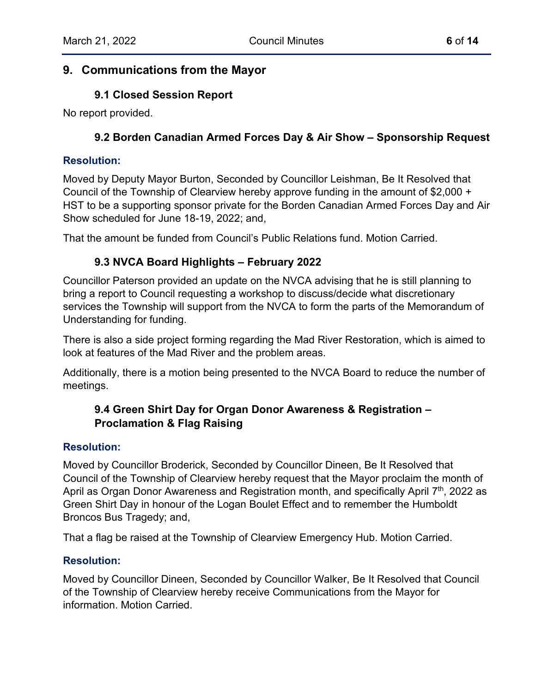## **9. Communications from the Mayor**

### **9.1 Closed Session Report**

No report provided.

### **9.2 Borden Canadian Armed Forces Day & Air Show – Sponsorship Request**

#### **Resolution:**

Moved by Deputy Mayor Burton, Seconded by Councillor Leishman, Be It Resolved that Council of the Township of Clearview hereby approve funding in the amount of \$2,000 + HST to be a supporting sponsor private for the Borden Canadian Armed Forces Day and Air Show scheduled for June 18-19, 2022; and,

That the amount be funded from Council's Public Relations fund. Motion Carried.

## **9.3 NVCA Board Highlights – February 2022**

Councillor Paterson provided an update on the NVCA advising that he is still planning to bring a report to Council requesting a workshop to discuss/decide what discretionary services the Township will support from the NVCA to form the parts of the Memorandum of Understanding for funding.

There is also a side project forming regarding the Mad River Restoration, which is aimed to look at features of the Mad River and the problem areas.

Additionally, there is a motion being presented to the NVCA Board to reduce the number of meetings.

## **9.4 Green Shirt Day for Organ Donor Awareness & Registration – Proclamation & Flag Raising**

#### **Resolution:**

Moved by Councillor Broderick, Seconded by Councillor Dineen, Be It Resolved that Council of the Township of Clearview hereby request that the Mayor proclaim the month of April as Organ Donor Awareness and Registration month, and specifically April  $7<sup>th</sup>$ , 2022 as Green Shirt Day in honour of the Logan Boulet Effect and to remember the Humboldt Broncos Bus Tragedy; and,

That a flag be raised at the Township of Clearview Emergency Hub. Motion Carried.

#### **Resolution:**

Moved by Councillor Dineen, Seconded by Councillor Walker, Be It Resolved that Council of the Township of Clearview hereby receive Communications from the Mayor for information. Motion Carried.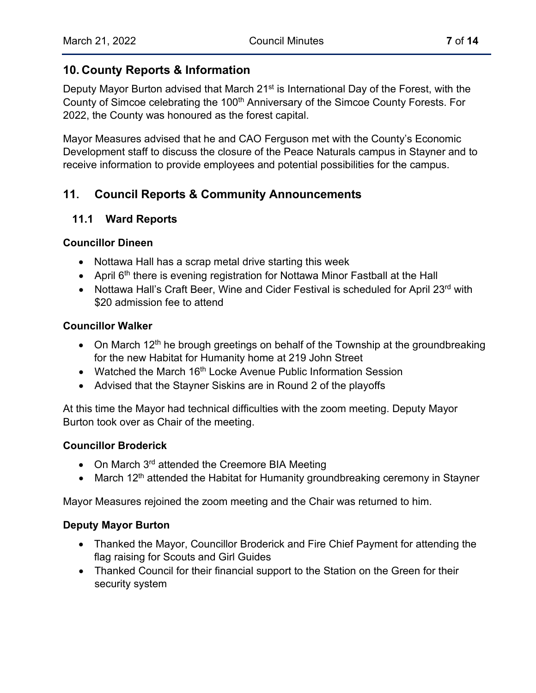## **10. County Reports & Information**

Deputy Mayor Burton advised that March 21<sup>st</sup> is International Day of the Forest, with the County of Simcoe celebrating the 100<sup>th</sup> Anniversary of the Simcoe County Forests. For 2022, the County was honoured as the forest capital.

Mayor Measures advised that he and CAO Ferguson met with the County's Economic Development staff to discuss the closure of the Peace Naturals campus in Stayner and to receive information to provide employees and potential possibilities for the campus.

## **11. Council Reports & Community Announcements**

## **11.1 Ward Reports**

#### **Councillor Dineen**

- Nottawa Hall has a scrap metal drive starting this week
- April  $6<sup>th</sup>$  there is evening registration for Nottawa Minor Fastball at the Hall
- Nottawa Hall's Craft Beer, Wine and Cider Festival is scheduled for April 23<sup>rd</sup> with \$20 admission fee to attend

#### **Councillor Walker**

- On March 12<sup>th</sup> he brough greetings on behalf of the Township at the groundbreaking for the new Habitat for Humanity home at 219 John Street
- Watched the March 16<sup>th</sup> Locke Avenue Public Information Session
- Advised that the Stayner Siskins are in Round 2 of the playoffs

At this time the Mayor had technical difficulties with the zoom meeting. Deputy Mayor Burton took over as Chair of the meeting.

#### **Councillor Broderick**

- On March 3<sup>rd</sup> attended the Creemore BIA Meeting
- March 12<sup>th</sup> attended the Habitat for Humanity groundbreaking ceremony in Stayner

Mayor Measures rejoined the zoom meeting and the Chair was returned to him.

#### **Deputy Mayor Burton**

- Thanked the Mayor, Councillor Broderick and Fire Chief Payment for attending the flag raising for Scouts and Girl Guides
- Thanked Council for their financial support to the Station on the Green for their security system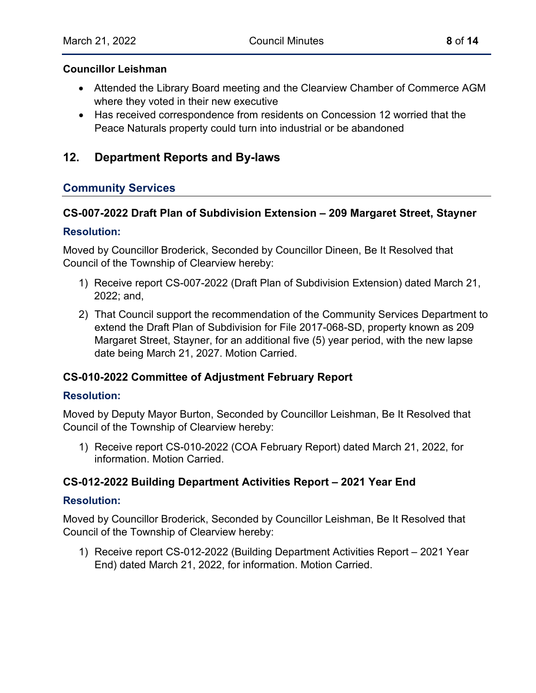#### **Councillor Leishman**

- Attended the Library Board meeting and the Clearview Chamber of Commerce AGM where they voted in their new executive
- Has received correspondence from residents on Concession 12 worried that the Peace Naturals property could turn into industrial or be abandoned

## **12. Department Reports and By-laws**

#### **Community Services**

#### **CS-007-2022 Draft Plan of Subdivision Extension – 209 Margaret Street, Stayner**

#### **Resolution:**

Moved by Councillor Broderick, Seconded by Councillor Dineen, Be It Resolved that Council of the Township of Clearview hereby:

- 1) Receive report CS-007-2022 (Draft Plan of Subdivision Extension) dated March 21, 2022; and,
- 2) That Council support the recommendation of the Community Services Department to extend the Draft Plan of Subdivision for File 2017-068-SD, property known as 209 Margaret Street, Stayner, for an additional five (5) year period, with the new lapse date being March 21, 2027. Motion Carried.

#### **CS-010-2022 Committee of Adjustment February Report**

#### **Resolution:**

Moved by Deputy Mayor Burton, Seconded by Councillor Leishman, Be It Resolved that Council of the Township of Clearview hereby:

1) Receive report CS-010-2022 (COA February Report) dated March 21, 2022, for information. Motion Carried.

#### **CS-012-2022 Building Department Activities Report – 2021 Year End**

#### **Resolution:**

Moved by Councillor Broderick, Seconded by Councillor Leishman, Be It Resolved that Council of the Township of Clearview hereby:

1) Receive report CS-012-2022 (Building Department Activities Report – 2021 Year End) dated March 21, 2022, for information. Motion Carried.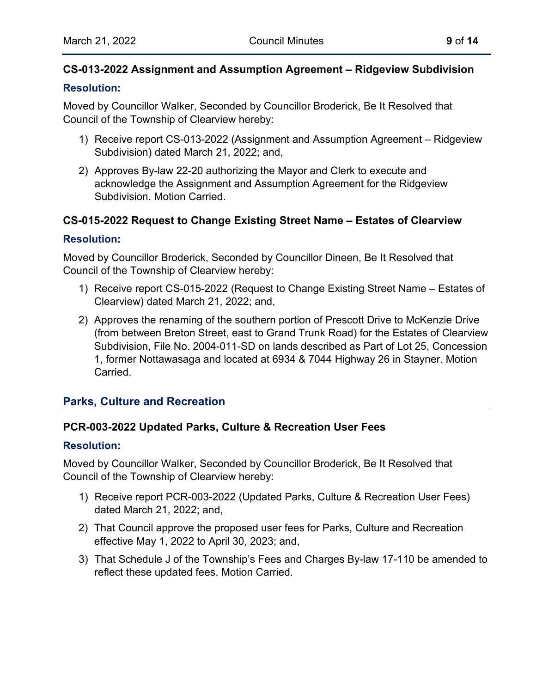## **CS-013-2022 Assignment and Assumption Agreement – Ridgeview Subdivision**

#### **Resolution:**

Moved by Councillor Walker, Seconded by Councillor Broderick, Be It Resolved that Council of the Township of Clearview hereby:

- 1) Receive report CS-013-2022 (Assignment and Assumption Agreement Ridgeview Subdivision) dated March 21, 2022; and,
- 2) Approves By-law 22-20 authorizing the Mayor and Clerk to execute and acknowledge the Assignment and Assumption Agreement for the Ridgeview Subdivision. Motion Carried.

## **CS-015-2022 Request to Change Existing Street Name – Estates of Clearview**

#### **Resolution:**

Moved by Councillor Broderick, Seconded by Councillor Dineen, Be It Resolved that Council of the Township of Clearview hereby:

- 1) Receive report CS-015-2022 (Request to Change Existing Street Name Estates of Clearview) dated March 21, 2022; and,
- 2) Approves the renaming of the southern portion of Prescott Drive to McKenzie Drive (from between Breton Street, east to Grand Trunk Road) for the Estates of Clearview Subdivision, File No. 2004-011-SD on lands described as Part of Lot 25, Concession 1, former Nottawasaga and located at 6934 & 7044 Highway 26 in Stayner. Motion Carried.

## **Parks, Culture and Recreation**

#### **PCR-003-2022 Updated Parks, Culture & Recreation User Fees**

#### **Resolution:**

Moved by Councillor Walker, Seconded by Councillor Broderick, Be It Resolved that Council of the Township of Clearview hereby:

- 1) Receive report PCR-003-2022 (Updated Parks, Culture & Recreation User Fees) dated March 21, 2022; and,
- 2) That Council approve the proposed user fees for Parks, Culture and Recreation effective May 1, 2022 to April 30, 2023; and,
- 3) That Schedule J of the Township's Fees and Charges By-law 17-110 be amended to reflect these updated fees. Motion Carried.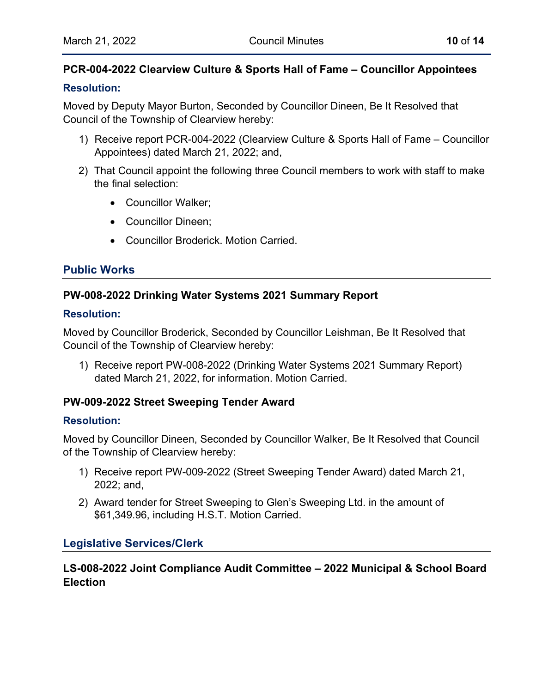## **PCR-004-2022 Clearview Culture & Sports Hall of Fame – Councillor Appointees**

#### **Resolution:**

Moved by Deputy Mayor Burton, Seconded by Councillor Dineen, Be It Resolved that Council of the Township of Clearview hereby:

- 1) Receive report PCR-004-2022 (Clearview Culture & Sports Hall of Fame Councillor Appointees) dated March 21, 2022; and,
- 2) That Council appoint the following three Council members to work with staff to make the final selection:
	- Councillor Walker;
	- Councillor Dineen;
	- Councillor Broderick. Motion Carried.

## **Public Works**

## **PW-008-2022 Drinking Water Systems 2021 Summary Report**

#### **Resolution:**

Moved by Councillor Broderick, Seconded by Councillor Leishman, Be It Resolved that Council of the Township of Clearview hereby:

1) Receive report PW-008-2022 (Drinking Water Systems 2021 Summary Report) dated March 21, 2022, for information. Motion Carried.

#### **PW-009-2022 Street Sweeping Tender Award**

#### **Resolution:**

Moved by Councillor Dineen, Seconded by Councillor Walker, Be It Resolved that Council of the Township of Clearview hereby:

- 1) Receive report PW-009-2022 (Street Sweeping Tender Award) dated March 21, 2022; and,
- 2) Award tender for Street Sweeping to Glen's Sweeping Ltd. in the amount of \$61,349.96, including H.S.T. Motion Carried.

## **Legislative Services/Clerk**

## **LS-008-2022 Joint Compliance Audit Committee – 2022 Municipal & School Board Election**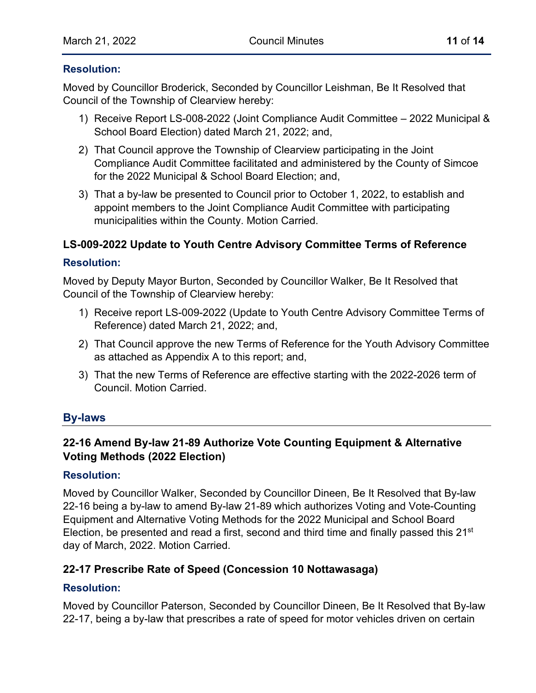#### **Resolution:**

Moved by Councillor Broderick, Seconded by Councillor Leishman, Be It Resolved that Council of the Township of Clearview hereby:

- 1) Receive Report LS-008-2022 (Joint Compliance Audit Committee 2022 Municipal & School Board Election) dated March 21, 2022; and,
- 2) That Council approve the Township of Clearview participating in the Joint Compliance Audit Committee facilitated and administered by the County of Simcoe for the 2022 Municipal & School Board Election; and,
- 3) That a by-law be presented to Council prior to October 1, 2022, to establish and appoint members to the Joint Compliance Audit Committee with participating municipalities within the County. Motion Carried.

## **LS-009-2022 Update to Youth Centre Advisory Committee Terms of Reference**

#### **Resolution:**

Moved by Deputy Mayor Burton, Seconded by Councillor Walker, Be It Resolved that Council of the Township of Clearview hereby:

- 1) Receive report LS-009-2022 (Update to Youth Centre Advisory Committee Terms of Reference) dated March 21, 2022; and,
- 2) That Council approve the new Terms of Reference for the Youth Advisory Committee as attached as Appendix A to this report; and,
- 3) That the new Terms of Reference are effective starting with the 2022-2026 term of Council. Motion Carried.

## **By-laws**

## **22-16 Amend By-law 21-89 Authorize Vote Counting Equipment & Alternative Voting Methods (2022 Election[\)](https://www.clearview.ca/sites/default/files/uploads/publications/22-16_by-law_explanatory_note_-_amend_by-law_21-89_alternative_voting_methods.pdf)**

#### **Resolution:**

Moved by Councillor Walker, Seconded by Councillor Dineen, Be It Resolved that By-law 22-16 being a by-law to amend By-law 21-89 which authorizes Voting and Vote-Counting Equipment and Alternative Voting Methods for the 2022 Municipal and School Board Election, be presented and read a first, second and third time and finally passed this 21<sup>st</sup> day of March, 2022. Motion Carried.

#### **22-17 Prescribe Rate of Speed (Concession 10 Nottawasaga)**

#### **Resolution:**

Moved by Councillor Paterson, Seconded by Councillor Dineen, Be It Resolved that By-law 22-17, being a by-law that prescribes a rate of speed for motor vehicles driven on certain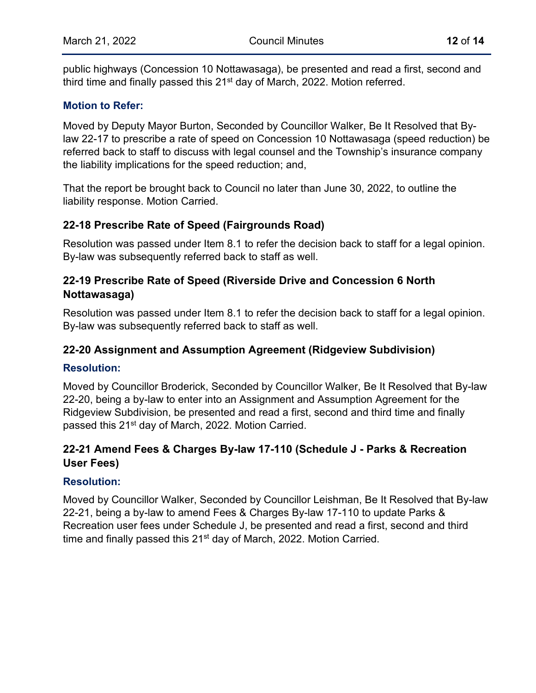public highways (Concession 10 Nottawasaga), be presented and read a first, second and third time and finally passed this 21<sup>st</sup> day of March, 2022. Motion referred.

#### **Motion to Refer:**

Moved by Deputy Mayor Burton, Seconded by Councillor Walker, Be It Resolved that Bylaw 22-17 to prescribe a rate of speed on Concession 10 Nottawasaga (speed reduction) be referred back to staff to discuss with legal counsel and the Township's insurance company the liability implications for the speed reduction; and,

That the report be brought back to Council no later than June 30, 2022, to outline the liability response. Motion Carried.

## **22-18 Prescribe Rate of Speed (Fairgrounds Road)**

Resolution was passed under Item 8.1 to refer the decision back to staff for a legal opinion. By-law was subsequently referred back to staff as well.

#### **22-19 Prescribe Rate of Speed (Riverside Drive and Concession 6 North Nottawasaga)**

Resolution was passed under Item 8.1 to refer the decision back to staff for a legal opinion. By-law was subsequently referred back to staff as well.

## **22-20 Assignment and Assumption Agreement (Ridgeview Subdivision)**

#### **Resolution:**

Moved by Councillor Broderick, Seconded by Councillor Walker, Be It Resolved that By-law 22-20, being a by-law to enter into an Assignment and Assumption Agreement for the Ridgeview Subdivision, be presented and read a first, second and third time and finally passed this 21<sup>st</sup> day of March, 2022. Motion Carried.

## **22-21 Amend Fees & Charges By-law 17-110 (Schedule J - Parks & Recreation User Fees)**

#### **Resolution:**

Moved by Councillor Walker, Seconded by Councillor Leishman, Be It Resolved that By-law 22-21, being a by-law to amend Fees & Charges By-law 17-110 to update Parks & Recreation user fees under Schedule J, be presented and read a first, second and third time and finally passed this 21<sup>st</sup> day of March, 2022. Motion Carried.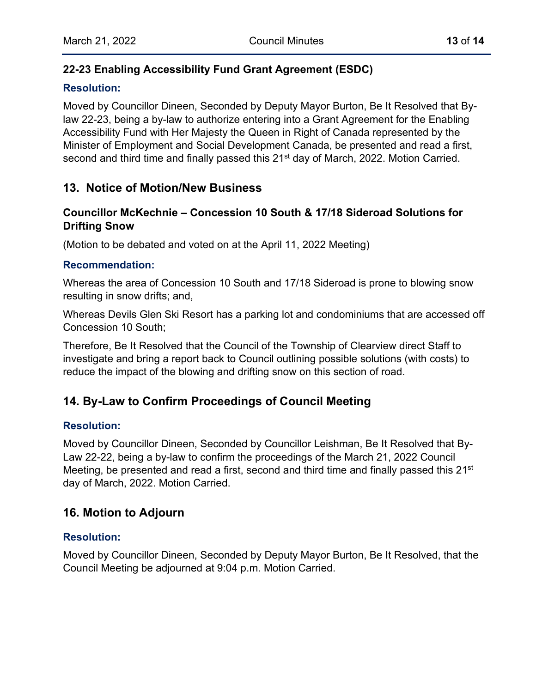## **22-23 Enabling Accessibility Fund Grant Agreement (ESDC)**

## **Resolution:**

Moved by Councillor Dineen, Seconded by Deputy Mayor Burton, Be It Resolved that Bylaw 22-23, being a by-law to authorize entering into a Grant Agreement for the Enabling Accessibility Fund with Her Majesty the Queen in Right of Canada represented by the Minister of Employment and Social Development Canada, be presented and read a first, second and third time and finally passed this 21<sup>st</sup> day of March, 2022. Motion Carried.

## **13. Notice of Motion/New Business**

## **Councillor McKechnie – Concession 10 South & 17/18 Sideroad Solutions for Drifting Snow**

(Motion to be debated and voted on at the April 11, 2022 Meeting)

#### **Recommendation:**

Whereas the area of Concession 10 South and 17/18 Sideroad is prone to blowing snow resulting in snow drifts; and,

Whereas Devils Glen Ski Resort has a parking lot and condominiums that are accessed off Concession 10 South;

Therefore, Be It Resolved that the Council of the Township of Clearview direct Staff to investigate and bring a report back to Council outlining possible solutions (with costs) to reduce the impact of the blowing and drifting snow on this section of road.

## **14. By-Law to Confirm Proceedings of Council Meeting**

## **Resolution:**

Moved by Councillor Dineen, Seconded by Councillor Leishman, Be It Resolved that By-Law 22-22, being a by-law to confirm the proceedings of the March 21, 2022 Council Meeting, be presented and read a first, second and third time and finally passed this 21<sup>st</sup> day of March, 2022. Motion Carried.

## **16. Motion to Adjourn**

#### **Resolution:**

Moved by Councillor Dineen, Seconded by Deputy Mayor Burton, Be It Resolved, that the Council Meeting be adjourned at 9:04 p.m. Motion Carried.